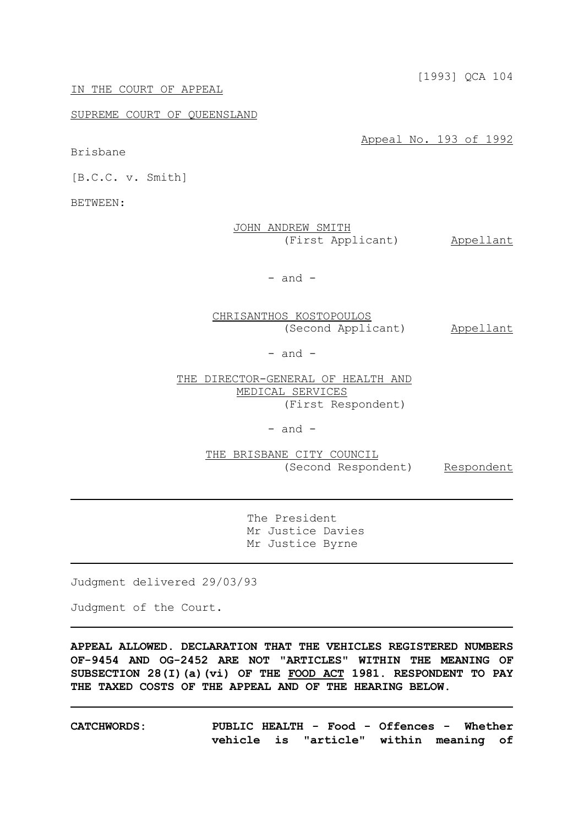[1993] QCA 104

#### IN THE COURT OF APPEAL

## SUPREME COURT OF QUEENSLAND

Appeal No. 193 of 1992

Brisbane

[B.C.C. v. Smith]

BETWEEN:

| JOHN ANDREW SMITH |                   |           |
|-------------------|-------------------|-----------|
|                   | (First Applicant) | Appellant |

 $-$  and  $-$ 

CHRISANTHOS KOSTOPOULOS (Second Applicant) Appellant

- and -

THE DIRECTOR-GENERAL OF HEALTH AND MEDICAL SERVICES (First Respondent)

- and -

THE BRISBANE CITY COUNCIL (Second Respondent) Respondent

The President Mr Justice Davies Mr Justice Byrne

Judgment delivered 29/03/93

Judgment of the Court.

**APPEAL ALLOWED. DECLARATION THAT THE VEHICLES REGISTERED NUMBERS OF-9454 AND OG-2452 ARE NOT "ARTICLES" WITHIN THE MEANING OF SUBSECTION 28(I)(a)(vi) OF THE FOOD ACT 1981. RESPONDENT TO PAY THE TAXED COSTS OF THE APPEAL AND OF THE HEARING BELOW.**

**CATCHWORDS: PUBLIC HEALTH - Food - Offences - Whether vehicle is "article" within meaning of**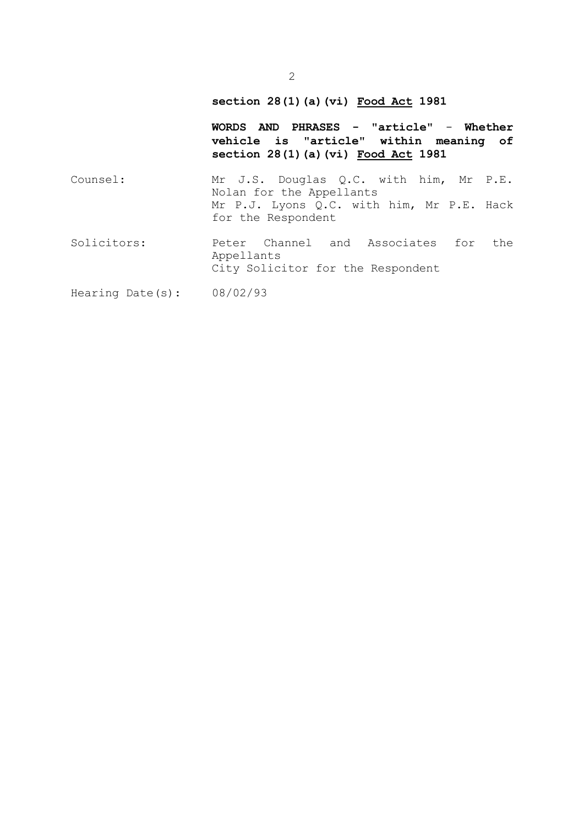# **section 28(1)(a)(vi) Food Act 1981**

City Solicitor for the Respondent

**WORDS AND PHRASES - "article"** - **Whether vehicle is "article" within meaning of section 28(1)(a)(vi) Food Act 1981**

Counsel: Mr J.S. Douglas Q.C. with him, Mr P.E. Nolan for the Appellants Mr P.J. Lyons Q.C. with him, Mr P.E. Hack for the Respondent Solicitors: Peter Channel and Associates for the

Appellants

Hearing Date(s): 08/02/93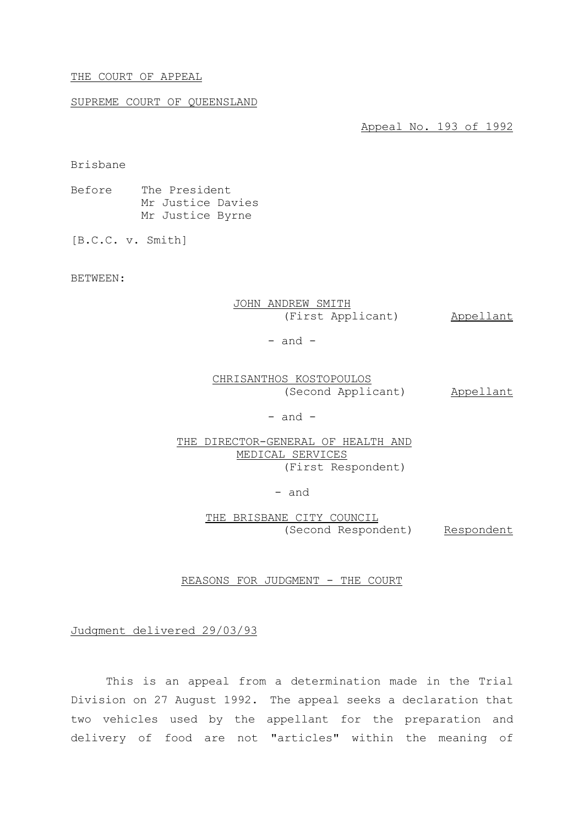#### THE COURT OF APPEAL

## SUPREME COURT OF QUEENSLAND

Appeal No. 193 of 1992

Brisbane

Before The President Mr Justice Davies Mr Justice Byrne

[B.C.C. v. Smith]

BETWEEN:

JOHN ANDREW SMITH (First Applicant) Appellant

 $-$  and  $-$ 

CHRISANTHOS KOSTOPOULOS (Second Applicant) Appellant

 $-$  and  $-$ 

THE DIRECTOR-GENERAL OF HEALTH AND MEDICAL SERVICES (First Respondent)

- and

THE BRISBANE CITY COUNCIL (Second Respondent) Respondent

REASONS FOR JUDGMENT - THE COURT

Judgment delivered 29/03/93

This is an appeal from a determination made in the Trial Division on 27 August 1992. The appeal seeks a declaration that two vehicles used by the appellant for the preparation and delivery of food are not "articles" within the meaning of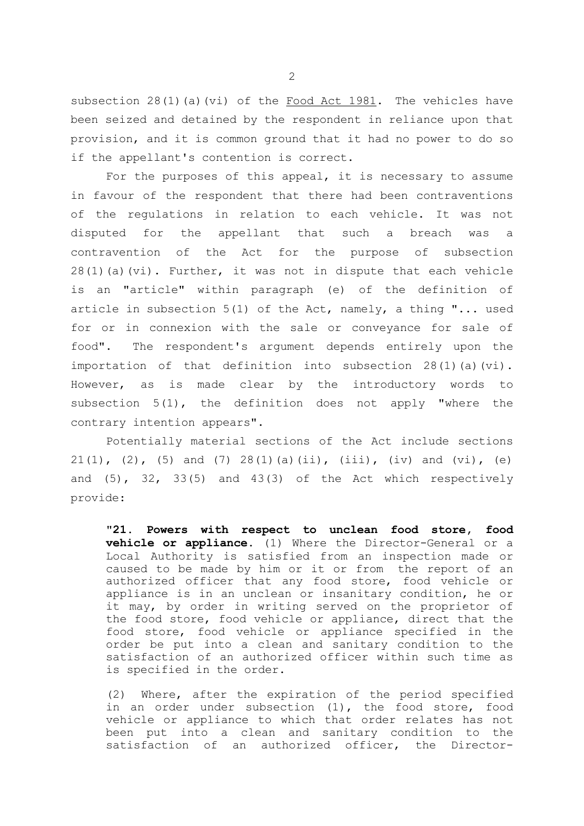subsection  $28(1)(a)(vi)$  of the Food Act 1981. The vehicles have been seized and detained by the respondent in reliance upon that provision, and it is common ground that it had no power to do so if the appellant's contention is correct.

For the purposes of this appeal, it is necessary to assume in favour of the respondent that there had been contraventions of the regulations in relation to each vehicle. It was not disputed for the appellant that such a breach was a contravention of the Act for the purpose of subsection  $28(1)(a)(vi)$ . Further, it was not in dispute that each vehicle is an "article" within paragraph (e) of the definition of article in subsection 5(1) of the Act, namely, a thing "... used for or in connexion with the sale or conveyance for sale of food". The respondent's argument depends entirely upon the importation of that definition into subsection  $28(1)(a)(vi)$ . However, as is made clear by the introductory words to subsection 5(1), the definition does not apply "where the contrary intention appears".

Potentially material sections of the Act include sections  $21(1)$ ,  $(2)$ ,  $(5)$  and  $(7)$   $28(1)(a)(ii)$ ,  $(iii)$ ,  $(iv)$  and  $(vi)$ ,  $(e)$ and  $(5)$ ,  $32$ ,  $33(5)$  and  $43(3)$  of the Act which respectively provide:

"**21. Powers with respect to unclean food store, food vehicle or appliance.** (1) Where the Director-General or a Local Authority is satisfied from an inspection made or caused to be made by him or it or from the report of an authorized officer that any food store, food vehicle or appliance is in an unclean or insanitary condition, he or it may, by order in writing served on the proprietor of the food store, food vehicle or appliance, direct that the food store, food vehicle or appliance specified in the order be put into a clean and sanitary condition to the satisfaction of an authorized officer within such time as is specified in the order.

(2) Where, after the expiration of the period specified in an order under subsection (1), the food store, food vehicle or appliance to which that order relates has not been put into a clean and sanitary condition to the satisfaction of an authorized officer, the Director-

2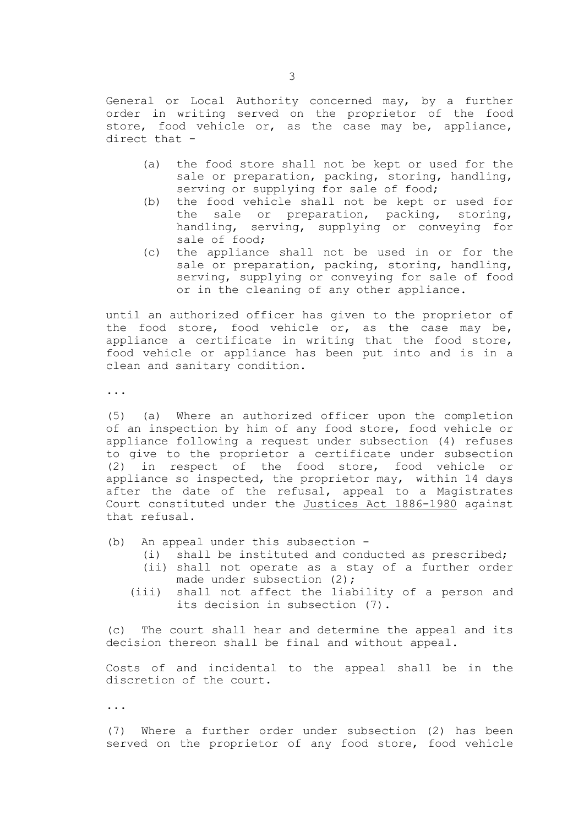General or Local Authority concerned may, by a further order in writing served on the proprietor of the food store, food vehicle or, as the case may be, appliance, direct that -

- (a) the food store shall not be kept or used for the sale or preparation, packing, storing, handling, serving or supplying for sale of food;
- (b) the food vehicle shall not be kept or used for the sale or preparation, packing, storing, handling, serving, supplying or conveying for sale of food;
- (c) the appliance shall not be used in or for the sale or preparation, packing, storing, handling, serving, supplying or conveying for sale of food or in the cleaning of any other appliance.

until an authorized officer has given to the proprietor of the food store, food vehicle or, as the case may be, appliance a certificate in writing that the food store, food vehicle or appliance has been put into and is in a clean and sanitary condition.

...

(5) (a) Where an authorized officer upon the completion of an inspection by him of any food store, food vehicle or appliance following a request under subsection (4) refuses to give to the proprietor a certificate under subsection (2) in respect of the food store, food vehicle or appliance so inspected, the proprietor may, within 14 days after the date of the refusal, appeal to a Magistrates Court constituted under the Justices Act 1886-1980 against that refusal.

(b) An appeal under this subsection -

- (i) shall be instituted and conducted as prescribed;
- (ii) shall not operate as a stay of a further order made under subsection (2);
- (iii) shall not affect the liability of a person and its decision in subsection (7).

(c) The court shall hear and determine the appeal and its decision thereon shall be final and without appeal.

Costs of and incidental to the appeal shall be in the discretion of the court.

...

(7) Where a further order under subsection (2) has been served on the proprietor of any food store, food vehicle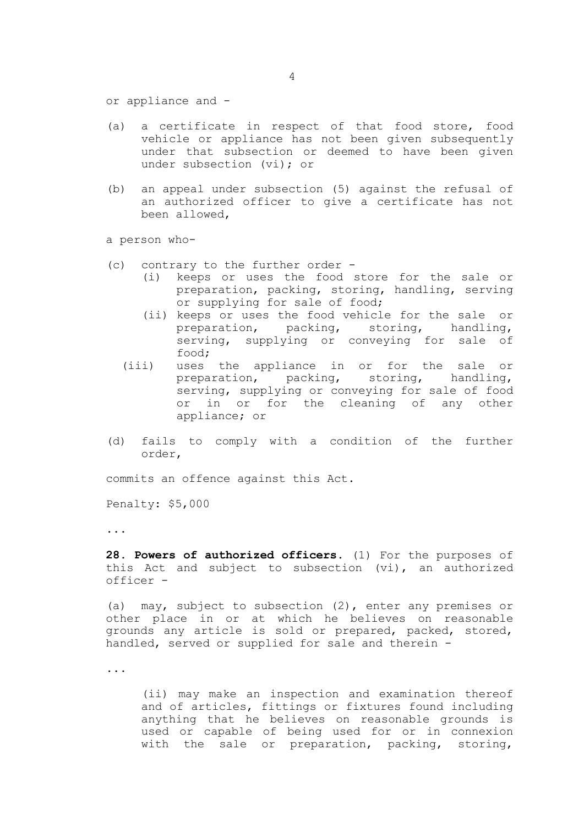or appliance and -

- (a) a certificate in respect of that food store, food vehicle or appliance has not been given subsequently under that subsection or deemed to have been given under subsection (vi); or
- (b) an appeal under subsection (5) against the refusal of an authorized officer to give a certificate has not been allowed,

a person who-

- (c) contrary to the further order
	- (i) keeps or uses the food store for the sale or preparation, packing, storing, handling, serving or supplying for sale of food;
	- (ii) keeps or uses the food vehicle for the sale or preparation, packing, storing, handling, serving, supplying or conveying for sale of food;
	- (iii) uses the appliance in or for the sale or preparation, packing, storing, handling, serving, supplying or conveying for sale of food or in or for the cleaning of any other appliance; or
- (d) fails to comply with a condition of the further order,

commits an offence against this Act.

Penalty: \$5,000

...

**28. Powers of authorized officers.** (1) For the purposes of this Act and subject to subsection (vi), an authorized officer -

(a) may, subject to subsection (2), enter any premises or other place in or at which he believes on reasonable grounds any article is sold or prepared, packed, stored, handled, served or supplied for sale and therein -

...

(ii) may make an inspection and examination thereof and of articles, fittings or fixtures found including anything that he believes on reasonable grounds is used or capable of being used for or in connexion with the sale or preparation, packing, storing,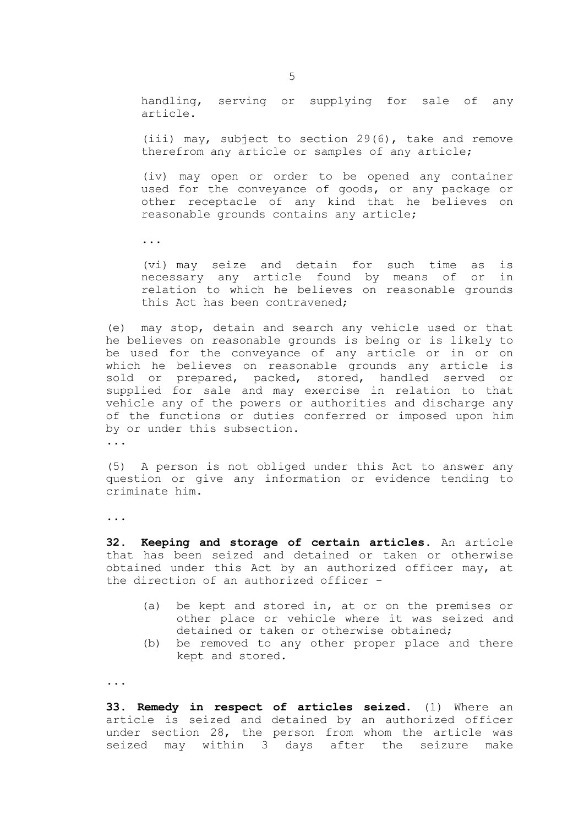handling, serving or supplying for sale of any article.

(iii) may, subject to section 29(6), take and remove therefrom any article or samples of any article;

(iv) may open or order to be opened any container used for the conveyance of goods, or any package or other receptacle of any kind that he believes on reasonable grounds contains any article;

...

(vi) may seize and detain for such time as is necessary any article found by means of or in relation to which he believes on reasonable grounds this Act has been contravened;

(e) may stop, detain and search any vehicle used or that he believes on reasonable grounds is being or is likely to be used for the conveyance of any article or in or on which he believes on reasonable grounds any article is sold or prepared, packed, stored, handled served or supplied for sale and may exercise in relation to that vehicle any of the powers or authorities and discharge any of the functions or duties conferred or imposed upon him by or under this subsection.

...

(5) A person is not obliged under this Act to answer any question or give any information or evidence tending to criminate him.

...

**32. Keeping and storage of certain articles.** An article that has been seized and detained or taken or otherwise obtained under this Act by an authorized officer may, at the direction of an authorized officer -

- (a) be kept and stored in, at or on the premises or other place or vehicle where it was seized and detained or taken or otherwise obtained;
- (b) be removed to any other proper place and there kept and stored.

...

**33. Remedy in respect of articles seized.** (1) Where an article is seized and detained by an authorized officer under section 28, the person from whom the article was seized may within 3 days after the seizure make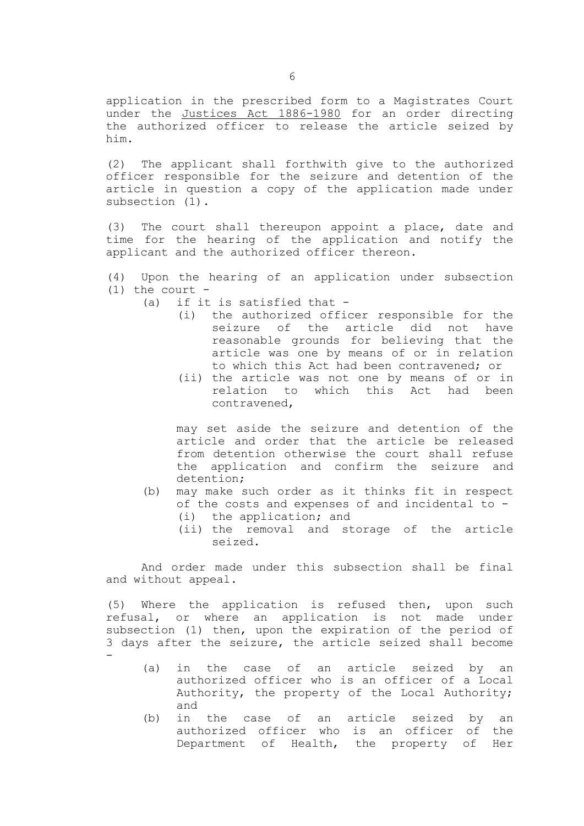application in the prescribed form to a Magistrates Court under the Justices Act 1886-1980 for an order directing the authorized officer to release the article seized by him.

(2) The applicant shall forthwith give to the authorized officer responsible for the seizure and detention of the article in question a copy of the application made under subsection (1).

(3) The court shall thereupon appoint a place, date and time for the hearing of the application and notify the applicant and the authorized officer thereon.

(4) Upon the hearing of an application under subsection  $(1)$  the court -

- (a) if it is satisfied that
	- (i) the authorized officer responsible for the seizure of the article did not have reasonable grounds for believing that the article was one by means of or in relation to which this Act had been contravened; or
	- (ii) the article was not one by means of or in relation to which this Act had been contravened,

may set aside the seizure and detention of the article and order that the article be released from detention otherwise the court shall refuse the application and confirm the seizure and detention;

- (b) may make such order as it thinks fit in respect of the costs and expenses of and incidental to -
	- (i) the application; and
	- (ii) the removal and storage of the article seized.

And order made under this subsection shall be final and without appeal.

(5) Where the application is refused then, upon such refusal, or where an application is not made under subsection (1) then, upon the expiration of the period of 3 days after the seizure, the article seized shall become -

- (a) in the case of an article seized by an authorized officer who is an officer of a Local Authority, the property of the Local Authority; and
- (b) in the case of an article seized by an authorized officer who is an officer of the Department of Health, the property of Her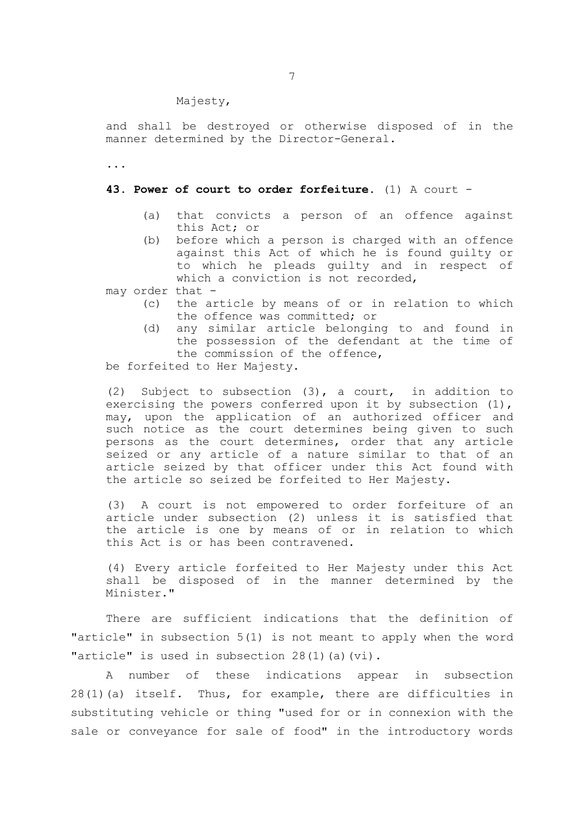Majesty,

and shall be destroyed or otherwise disposed of in the manner determined by the Director-General.

...

## **43. Power of court to order forfeiture.** (1) A court -

- (a) that convicts a person of an offence against this Act; or
- (b) before which a person is charged with an offence against this Act of which he is found guilty or to which he pleads guilty and in respect of which a conviction is not recorded,

may order that -

- (c) the article by means of or in relation to which the offence was committed; or
- (d) any similar article belonging to and found in the possession of the defendant at the time of the commission of the offence,

be forfeited to Her Majesty.

(2) Subject to subsection (3), a court, in addition to exercising the powers conferred upon it by subsection (1), may, upon the application of an authorized officer and such notice as the court determines being given to such persons as the court determines, order that any article seized or any article of a nature similar to that of an article seized by that officer under this Act found with the article so seized be forfeited to Her Majesty.

(3) A court is not empowered to order forfeiture of an article under subsection (2) unless it is satisfied that the article is one by means of or in relation to which this Act is or has been contravened.

(4) Every article forfeited to Her Majesty under this Act shall be disposed of in the manner determined by the Minister."

There are sufficient indications that the definition of "article" in subsection 5(1) is not meant to apply when the word "article" is used in subsection 28(1)(a)(vi).

A number of these indications appear in subsection 28(1)(a) itself. Thus, for example, there are difficulties in substituting vehicle or thing "used for or in connexion with the sale or conveyance for sale of food" in the introductory words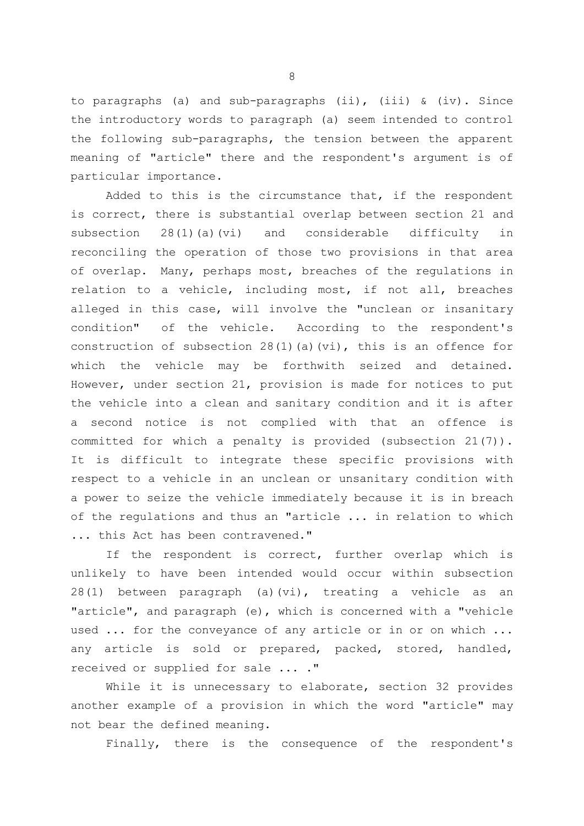to paragraphs (a) and sub-paragraphs (ii), (iii)  $\&$  (iv). Since the introductory words to paragraph (a) seem intended to control the following sub-paragraphs, the tension between the apparent meaning of "article" there and the respondent's argument is of particular importance.

Added to this is the circumstance that, if the respondent is correct, there is substantial overlap between section 21 and subsection 28(1)(a)(vi) and considerable difficulty in reconciling the operation of those two provisions in that area of overlap. Many, perhaps most, breaches of the regulations in relation to a vehicle, including most, if not all, breaches alleged in this case, will involve the "unclean or insanitary condition" of the vehicle. According to the respondent's construction of subsection  $28(1)(a)(vi)$ , this is an offence for which the vehicle may be forthwith seized and detained. However, under section 21, provision is made for notices to put the vehicle into a clean and sanitary condition and it is after a second notice is not complied with that an offence is committed for which a penalty is provided (subsection 21(7)). It is difficult to integrate these specific provisions with respect to a vehicle in an unclean or unsanitary condition with a power to seize the vehicle immediately because it is in breach of the regulations and thus an "article ... in relation to which ... this Act has been contravened."

If the respondent is correct, further overlap which is unlikely to have been intended would occur within subsection 28(1) between paragraph (a)(vi), treating a vehicle as an "article", and paragraph (e), which is concerned with a "vehicle used ... for the conveyance of any article or in or on which ... any article is sold or prepared, packed, stored, handled, received or supplied for sale ... ."

While it is unnecessary to elaborate, section 32 provides another example of a provision in which the word "article" may not bear the defined meaning.

Finally, there is the consequence of the respondent's

8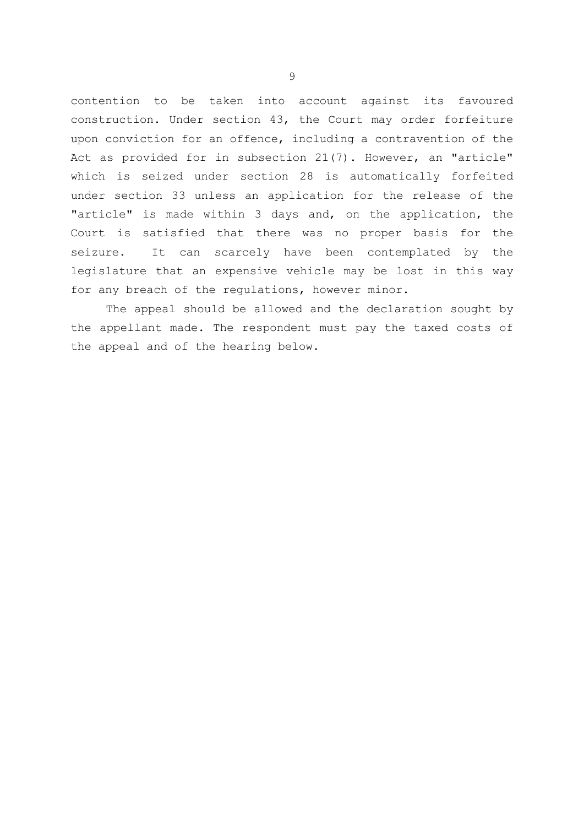contention to be taken into account against its favoured construction. Under section 43, the Court may order forfeiture upon conviction for an offence, including a contravention of the Act as provided for in subsection 21(7). However, an "article" which is seized under section 28 is automatically forfeited under section 33 unless an application for the release of the "article" is made within 3 days and, on the application, the Court is satisfied that there was no proper basis for the seizure. It can scarcely have been contemplated by the legislature that an expensive vehicle may be lost in this way for any breach of the regulations, however minor.

The appeal should be allowed and the declaration sought by the appellant made. The respondent must pay the taxed costs of the appeal and of the hearing below.